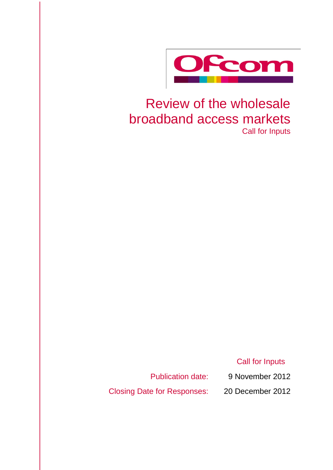

# Review of the wholesale broadband access markets Call for Inputs

Call for Inputs

Publication date: 9 November 2012

Closing Date for Responses: 20 December 2012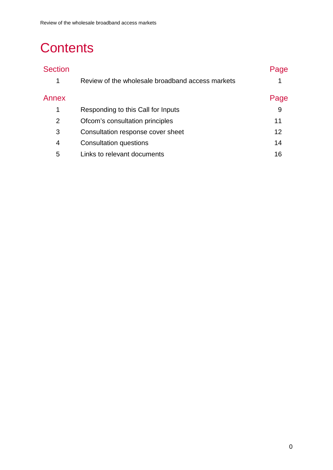# **Contents**

| <b>Section</b> |                                                  | Page |
|----------------|--------------------------------------------------|------|
| 1              | Review of the wholesale broadband access markets |      |
| Annex          |                                                  | Page |
| 1              | Responding to this Call for Inputs               | 9    |
| 2              | Ofcom's consultation principles                  | 11   |
| 3              | Consultation response cover sheet                | 12   |
| 4              | Consultation questions                           | 14   |
| 5              | Links to relevant documents                      | 16   |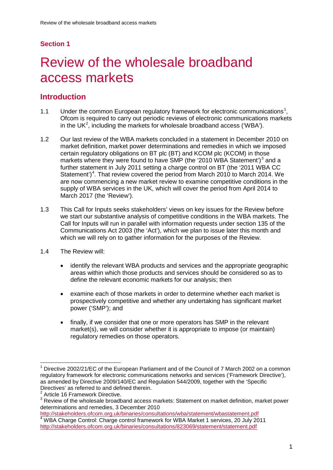## **Section 1**

# <span id="page-2-0"></span>Review of the wholesale broadband access markets

## **Introduction**

- [1](#page-2-1).1 Under the common European regulatory framework for electronic communications<sup>1</sup>, Ofcom is required to carry out periodic reviews of electronic communications markets in the UK<sup>[2](#page-2-2)</sup>, including the markets for wholesale broadband access ('WBA').
- 1.2 Our last review of the WBA markets concluded in a statement in December 2010 on market definition, market power determinations and remedies in which we imposed certain regulatory obligations on BT plc (BT) and KCOM plc (KCOM) in those markets where they were found to have SMP (the '2010 WBA Statement')<sup>[3](#page-2-3)</sup> and a further statement in July 2011 setting a charge control on BT (the '2011 WBA CC Statement')<sup>[4](#page-2-4)</sup>. That review covered the period from March 2010 to March 2014. We are now commencing a new market review to examine competitive conditions in the supply of WBA services in the UK, which will cover the period from April 2014 to March 2017 (the 'Review').
- 1.3 This Call for Inputs seeks stakeholders' views on key issues for the Review before we start our substantive analysis of competitive conditions in the WBA markets. The Call for Inputs will run in parallel with information requests under section 135 of the Communications Act 2003 (the 'Act'), which we plan to issue later this month and which we will rely on to gather information for the purposes of the Review.
- 1.4 The Review will:
	- identify the relevant WBA products and services and the appropriate geographic areas within which those products and services should be considered so as to define the relevant economic markets for our analysis; then
	- examine each of those markets in order to determine whether each market is prospectively competitive and whether any undertaking has significant market power ('SMP'); and
	- finally, if we consider that one or more operators has SMP in the relevant market(s), we will consider whether it is appropriate to impose (or maintain) regulatory remedies on those operators.

<span id="page-2-1"></span>Directive 2002/21/EC of the European Parliament and of the Council of 7 March 2002 on a common regulatory framework for electronic communications networks and services ('Framework Directive'), as amended by Directive 2009/140/EC and Regulation 544/2009, together with the 'Specific Directives' as referred to and defined therein.

<span id="page-2-2"></span><sup>&</sup>lt;sup>2</sup> Article 16 Framework Directive.

<span id="page-2-3"></span><sup>&</sup>lt;sup>3</sup> Review of the wholesale broadband access markets: Statement on market definition, market power determinations and remedies, 3 December 2010

<span id="page-2-4"></span><http://stakeholders.ofcom.org.uk/binaries/consultations/wba/statement/wbastatement.pdf> <sup>4</sup> WBA Charge Control: Charge control framework for WBA Market 1 services, 20 July 2011 <http://stakeholders.ofcom.org.uk/binaries/consultations/823069/statement/statement.pdf>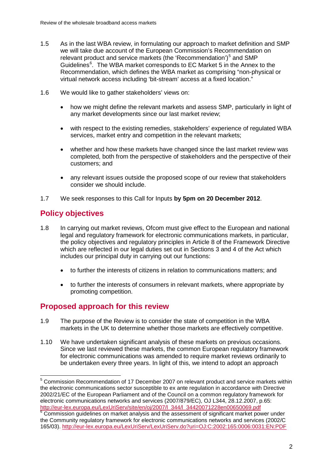- 1.5 As in the last WBA review, in formulating our approach to market definition and SMP we will take due account of the European Commission's Recommendation on relevant product and service markets (the 'Recommendation')<sup>[5](#page-3-0)</sup> and SMP Guidelines<sup>[6](#page-3-1)</sup>. The WBA market corresponds to EC Market 5 in the Annex to the Recommendation, which defines the WBA market as comprising "non-physical or virtual network access including 'bit-stream' access at a fixed location."
- 1.6 We would like to gather stakeholders' views on:
	- how we might define the relevant markets and assess SMP, particularly in light of any market developments since our last market review;
	- with respect to the existing remedies, stakeholders' experience of regulated WBA services, market entry and competition in the relevant markets;
	- whether and how these markets have changed since the last market review was completed, both from the perspective of stakeholders and the perspective of their customers; and
	- any relevant issues outside the proposed scope of our review that stakeholders consider we should include.
- 1.7 We seek responses to this Call for Inputs **by 5pm on 20 December 2012**.

# **Policy objectives**

- 1.8 In carrying out market reviews, Ofcom must give effect to the European and national legal and regulatory framework for electronic communications markets, in particular, the policy objectives and regulatory principles in Article 8 of the Framework Directive which are reflected in our legal duties set out in Sections 3 and 4 of the Act which includes our principal duty in carrying out our functions:
	- to further the interests of citizens in relation to communications matters; and
	- to further the interests of consumers in relevant markets, where appropriate by promoting competition.

### **Proposed approach for this review**

- 1.9 The purpose of the Review is to consider the state of competition in the WBA markets in the UK to determine whether those markets are effectively competitive.
- 1.10 We have undertaken significant analysis of these markets on previous occasions. Since we last reviewed these markets, the common European regulatory framework for electronic communications was amended to require market reviews ordinarily to be undertaken every three years. In light of this, we intend to adopt an approach

<span id="page-3-0"></span><sup>&</sup>lt;sup>5</sup> Commission Recommendation of 17 December 2007 on relevant product and service markets within the electronic communications sector susceptible to ex ante regulation in accordance with Directive 2002/21/EC of the European Parliament and of the Council on a common regulatory framework for electronic communications networks and services (2007/879/EC), OJ L344, 28.12.2007, p.65:<br>http://eur-lex.europa.eu/LexUriServ/site/en/oj/2007/l 344/l 34420071228en00650069.pdf

<span id="page-3-1"></span>http://eur.europa.europa.europa.europa.europa.europa.europa.europa.europa.europa.europa.europa.europa.europa.e<br><sup>6</sup> Commission guidelines on market analysis and the assessment of significant market power under the Community regulatory framework for electronic communications networks and services (2002/C 165/03).<http://eur-lex.europa.eu/LexUriServ/LexUriServ.do?uri=OJ:C:2002:165:0006:0031:EN:PDF>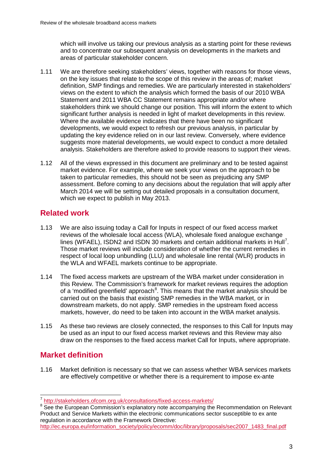which will involve us taking our previous analysis as a starting point for these reviews and to concentrate our subsequent analysis on developments in the markets and areas of particular stakeholder concern.

- 1.11 We are therefore seeking stakeholders' views, together with reasons for those views, on the key issues that relate to the scope of this review in the areas of; market definition, SMP findings and remedies. We are particularly interested in stakeholders' views on the extent to which the analysis which formed the basis of our 2010 WBA Statement and 2011 WBA CC Statement remains appropriate and/or where stakeholders think we should change our position. This will inform the extent to which significant further analysis is needed in light of market developments in this review. Where the available evidence indicates that there have been no significant developments, we would expect to refresh our previous analysis, in particular by updating the key evidence relied on in our last review. Conversely, where evidence suggests more material developments, we would expect to conduct a more detailed analysis. Stakeholders are therefore asked to provide reasons to support their views.
- 1.12 All of the views expressed in this document are preliminary and to be tested against market evidence. For example, where we seek your views on the approach to be taken to particular remedies, this should not be seen as prejudicing any SMP assessment. Before coming to any decisions about the regulation that will apply after March 2014 we will be setting out detailed proposals in a consultation document, which we expect to publish in May 2013.

# **Related work**

- 1.13 We are also issuing today a Call for Inputs in respect of our fixed access market reviews of the wholesale local access (WLA), wholesale fixed analogue exchange lines (WFAEL), ISDN2 and ISDN 30 markets and certain additional markets in Hull<sup>[7](#page-4-0)</sup>. Those market reviews will include consideration of whether the current remedies in respect of local loop unbundling (LLU) and wholesale line rental (WLR) products in the WLA and WFAEL markets continue to be appropriate.
- 1.14 The fixed access markets are upstream of the WBA market under consideration in this Review. The Commission's framework for market reviews requires the adoption of a 'modified greenfield' approach<sup>[8](#page-4-1)</sup>. This means that the market analysis should be carried out on the basis that existing SMP remedies in the WBA market, or in downstream markets, do not apply. SMP remedies in the upstream fixed access markets, however, do need to be taken into account in the WBA market analysis.
- 1.15 As these two reviews are closely connected, the responses to this Call for Inputs may be used as an input to our fixed access market reviews and this Review may also draw on the responses to the fixed access market Call for Inputs, where appropriate.

# **Market definition**

1.16 Market definition is necessary so that we can assess whether WBA services markets are effectively competitive or whether there is a requirement to impose ex-ante

<span id="page-4-0"></span> <sup>7</sup> <http://stakeholders.ofcom.org.uk/consultations/fixed-access-markets/>

<span id="page-4-1"></span><sup>&</sup>lt;sup>8</sup> See the European Commission's explanatory note accompanying the Recommendation on Relevant Product and Service Markets within the electronic communications sector susceptible to ex ante regulation in accordance with the Framework Directive:

[http://ec.europa.eu/information\\_society/policy/ecomm/doc/library/proposals/sec2007\\_1483\\_final.pdf](http://ec.europa.eu/information_society/policy/ecomm/doc/library/proposals/sec2007_1483_final.pdf)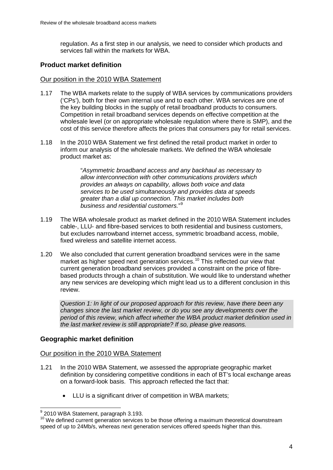regulation. As a first step in our analysis, we need to consider which products and services fall within the markets for WBA.

#### **Product market definition**

#### Our position in the 2010 WBA Statement

- 1.17 The WBA markets relate to the supply of WBA services by communications providers ('CPs'), both for their own internal use and to each other. WBA services are one of the key building blocks in the supply of retail broadband products to consumers. Competition in retail broadband services depends on effective competition at the wholesale level (or on appropriate wholesale regulation where there is SMP), and the cost of this service therefore affects the prices that consumers pay for retail services.
- 1.18 In the 2010 WBA Statement we first defined the retail product market in order to inform our analysis of the wholesale markets. We defined the WBA wholesale product market as:

"*Asymmetric broadband access and any backhaul as necessary to allow interconnection with other communications providers which provides an always on capability, allows both voice and data services to be used simultaneously and provides data at speeds greater than a dial up connection. This market includes both business and residential customers.*" [9](#page-5-0)

- 1.19 The WBA wholesale product as market defined in the 2010 WBA Statement includes cable-, LLU- and fibre-based services to both residential and business customers, but excludes narrowband internet access, symmetric broadband access, mobile, fixed wireless and satellite internet access.
- 1.20 We also concluded that current generation broadband services were in the same market as higher speed next generation services.<sup>[10](#page-5-1)</sup> This reflected our view that current generation broadband services provided a constraint on the price of fibrebased products through a chain of substitution. We would like to understand whether any new services are developing which might lead us to a different conclusion in this review.

*Question 1: In light of our proposed approach for this review, have there been any changes since the last market review, or do you see any developments over the period of this review, which affect whether the WBA product market definition used in the last market review is still appropriate? If so, please give reasons.*

#### **Geographic market definition**

#### Our position in the 2010 WBA Statement

- 1.21 In the 2010 WBA Statement, we assessed the appropriate geographic market definition by considering competitive conditions in each of BT's local exchange areas on a forward-look basis. This approach reflected the fact that:
	- LLU is a significant driver of competition in WBA markets;

<span id="page-5-0"></span> <sup>9</sup> 2010 WBA Statement, paragraph 3.193.

<span id="page-5-1"></span><sup>&</sup>lt;sup>10</sup> We defined current generation services to be those offering a maximum theoretical downstream speed of up to 24Mb/s, whereas next generation services offered speeds higher than this.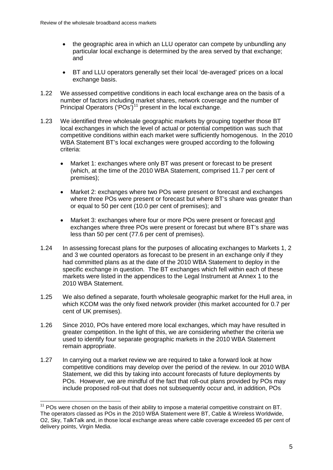- the geographic area in which an LLU operator can compete by unbundling any particular local exchange is determined by the area served by that exchange; and
- BT and LLU operators generally set their local 'de-averaged' prices on a local exchange basis.
- 1.22 We assessed competitive conditions in each local exchange area on the basis of a number of factors including market shares, network coverage and the number of Principal Operators ('POs')<sup>[11](#page-6-0)</sup> present in the local exchange.
- 1.23 We identified three wholesale geographic markets by grouping together those BT local exchanges in which the level of actual or potential competition was such that competitive conditions within each market were sufficiently homogenous. In the 2010 WBA Statement BT's local exchanges were grouped according to the following criteria:
	- Market 1: exchanges where only BT was present or forecast to be present (which, at the time of the 2010 WBA Statement, comprised 11.7 per cent of premises);
	- Market 2: exchanges where two POs were present or forecast and exchanges where three POs were present or forecast but where BT's share was greater than or equal to 50 per cent (10.0 per cent of premises); and
	- Market 3: exchanges where four or more POs were present or forecast and exchanges where three POs were present or forecast but where BT's share was less than 50 per cent (77.6 per cent of premises).
- 1.24 In assessing forecast plans for the purposes of allocating exchanges to Markets 1, 2 and 3 we counted operators as forecast to be present in an exchange only if they had committed plans as at the date of the 2010 WBA Statement to deploy in the specific exchange in question. The BT exchanges which fell within each of these markets were listed in the appendices to the Legal Instrument at Annex 1 to the 2010 WBA Statement.
- 1.25 We also defined a separate, fourth wholesale geographic market for the Hull area, in which KCOM was the only fixed network provider (this market accounted for 0.7 per cent of UK premises).
- 1.26 Since 2010, POs have entered more local exchanges, which may have resulted in greater competition. In the light of this, we are considering whether the criteria we used to identify four separate geographic markets in the 2010 WBA Statement remain appropriate.
- 1.27 In carrying out a market review we are required to take a forward look at how competitive conditions may develop over the period of the review. In our 2010 WBA Statement, we did this by taking into account forecasts of future deployments by POs. However, we are mindful of the fact that roll-out plans provided by POs may include proposed roll-out that does not subsequently occur and, in addition, POs

<span id="page-6-0"></span> $11$  POs were chosen on the basis of their ability to impose a material competitive constraint on BT. The operators classed as POs in the 2010 WBA Statement were BT, Cable & Wireless Worldwide, O2, Sky, TalkTalk and, in those local exchange areas where cable coverage exceeded 65 per cent of delivery points, Virgin Media.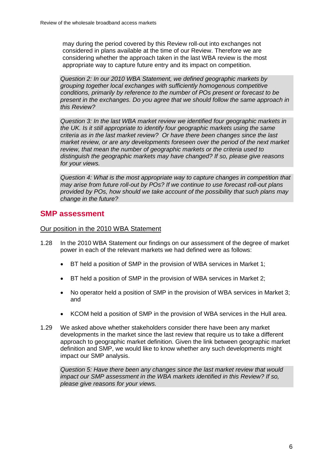may during the period covered by this Review roll-out into exchanges not considered in plans available at the time of our Review. Therefore we are considering whether the approach taken in the last WBA review is the most appropriate way to capture future entry and its impact on competition.

*Question 2: In our 2010 WBA Statement, we defined geographic markets by grouping together local exchanges with sufficiently homogenous competitive conditions, primarily by reference to the number of POs present or forecast to be present in the exchanges. Do you agree that we should follow the same approach in this Review?* 

*Question 3: In the last WBA market review we identified four geographic markets in the UK. Is it still appropriate to identify four geographic markets using the same criteria as in the last market review? Or have there been changes since the last market review, or are any developments foreseen over the period of the next market review, that mean the number of geographic markets or the criteria used to distinguish the geographic markets may have changed? If so, please give reasons for your views.*

*Question 4: What is the most appropriate way to capture changes in competition that may arise from future roll-out by POs? If we continue to use forecast roll-out plans provided by POs, how should we take account of the possibility that such plans may change in the future?* 

#### **SMP assessment**

Our position in the 2010 WBA Statement

- 1.28 In the 2010 WBA Statement our findings on our assessment of the degree of market power in each of the relevant markets we had defined were as follows:
	- BT held a position of SMP in the provision of WBA services in Market 1;
	- BT held a position of SMP in the provision of WBA services in Market 2;
	- No operator held a position of SMP in the provision of WBA services in Market 3; and
	- KCOM held a position of SMP in the provision of WBA services in the Hull area.
- 1.29 We asked above whether stakeholders consider there have been any market developments in the market since the last review that require us to take a different approach to geographic market definition. Given the link between geographic market definition and SMP, we would like to know whether any such developments might impact our SMP analysis.

*Question 5: Have there been any changes since the last market review that would impact our SMP assessment in the WBA markets identified in this Review? If so, please give reasons for your views.*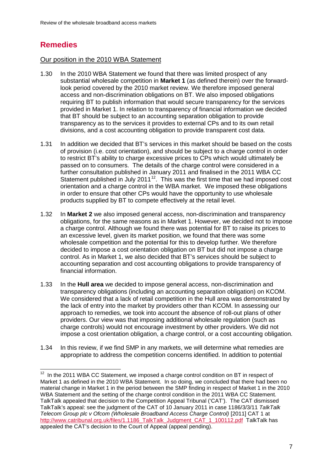# **Remedies**

#### Our position in the 2010 WBA Statement

- 1.30 In the 2010 WBA Statement we found that there was limited prospect of any substantial wholesale competition in **Market 1** (as defined therein) over the forwardlook period covered by the 2010 market review. We therefore imposed general access and non-discrimination obligations on BT. We also imposed obligations requiring BT to publish information that would secure transparency for the services provided in Market 1. In relation to transparency of financial information we decided that BT should be subject to an accounting separation obligation to provide transparency as to the services it provides to external CPs and to its own retail divisions, and a cost accounting obligation to provide transparent cost data.
- 1.31 In addition we decided that BT's services in this market should be based on the costs of provision (i.e. cost orientation), and should be subject to a charge control in order to restrict BT's ability to charge excessive prices to CPs which would ultimately be passed on to consumers. The details of the charge control were considered in a further consultation published in January 2011 and finalised in the 2011 WBA CC Statement published in July 2011 $12$ . This was the first time that we had imposed cost orientation and a charge control in the WBA market. We imposed these obligations in order to ensure that other CPs would have the opportunity to use wholesale products supplied by BT to compete effectively at the retail level.
- 1.32 In **Market 2** we also imposed general access, non-discrimination and transparency obligations, for the same reasons as in Market 1. However, we decided not to impose a charge control. Although we found there was potential for BT to raise its prices to an excessive level, given its market position, we found that there was some wholesale competition and the potential for this to develop further. We therefore decided to impose a cost orientation obligation on BT but did not impose a charge control. As in Market 1, we also decided that BT's services should be subject to accounting separation and cost accounting obligations to provide transparency of financial information.
- 1.33 In the **Hull area** we decided to impose general access, non-discrimination and transparency obligations (including an accounting separation obligation) on KCOM. We considered that a lack of retail competition in the Hull area was demonstrated by the lack of entry into the market by providers other than KCOM. In assessing our approach to remedies, we took into account the absence of roll-out plans of other providers. Our view was that imposing additional wholesale regulation (such as charge controls) would not encourage investment by other providers. We did not impose a cost orientation obligation, a charge control, or a cost accounting obligation.
- 1.34 In this review, if we find SMP in any markets, we will determine what remedies are appropriate to address the competition concerns identified. In addition to potential

<span id="page-8-0"></span> $12$  In the 2011 WBA CC Statement, we imposed a charge control condition on BT in respect of Market 1 as defined in the 2010 WBA Statement. In so doing, we concluded that there had been no material change in Market 1 in the period between the SMP finding in respect of Market 1 in the 2010 WBA Statement and the setting of the charge control condition in the 2011 WBA CC Statement. TalkTalk appealed that decision to the Competition Appeal Tribunal ('CAT'). The CAT dismissed TalkTalk's appeal: see the judgment of the CAT of 10 January 2011 in case 1186/3/3/11 *TalkTalk Telecom Group plc v Ofcom (Wholesale Broadband Access Charge Control)* [2011] CAT 1 at http://www.catribunal.org.uk/files/1.1186\_TalkTalk\_Judgment\_CAT\_1\_100112.pdf\_TalkTalk has appealed the CAT's decision to the Court of Appeal (appeal pending).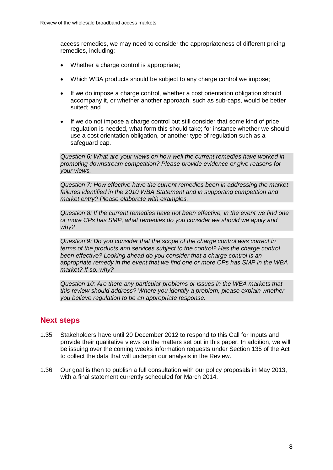access remedies, we may need to consider the appropriateness of different pricing remedies, including:

- Whether a charge control is appropriate:
- Which WBA products should be subject to any charge control we impose;
- If we do impose a charge control, whether a cost orientation obligation should accompany it, or whether another approach, such as sub-caps, would be better suited; and
- If we do not impose a charge control but still consider that some kind of price regulation is needed, what form this should take; for instance whether we should use a cost orientation obligation, or another type of regulation such as a safeguard cap.

*Question 6: What are your views on how well the current remedies have worked in promoting downstream competition? Please provide evidence or give reasons for your views.*

*Question 7: How effective have the current remedies been in addressing the market failures identified in the 2010 WBA Statement and in supporting competition and market entry? Please elaborate with examples.*

*Question 8: If the current remedies have not been effective, in the event we find one or more CPs has SMP, what remedies do you consider we should we apply and why?*

*Question 9: Do you consider that the scope of the charge control was correct in terms of the products and services subject to the control? Has the charge control been effective? Looking ahead do you consider that a charge control is an appropriate remedy in the event that we find one or more CPs has SMP in the WBA market? If so, why?*

*Question 10: Are there any particular problems or issues in the WBA markets that this review should address? Where you identify a problem, please explain whether you believe regulation to be an appropriate response.*

### **Next steps**

- 1.35 Stakeholders have until 20 December 2012 to respond to this Call for Inputs and provide their qualitative views on the matters set out in this paper. In addition, we will be issuing over the coming weeks information requests under Section 135 of the Act to collect the data that will underpin our analysis in the Review.
- 1.36 Our goal is then to publish a full consultation with our policy proposals in May 2013, with a final statement currently scheduled for March 2014.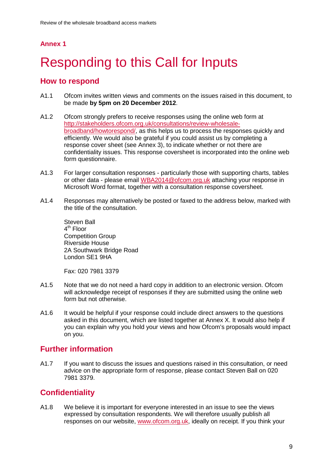# <span id="page-10-0"></span>**Responding to this Call for Inputs**

### **How to respond**

- A1.1 Ofcom invites written views and comments on the issues raised in this document, to be made **by 5pm on 20 December 2012**.
- A1.2 Ofcom strongly prefers to receive responses using the online web form at [http://stakeholders.ofcom.org.uk/consultations/review-wholesale](http://stakeholders.ofcom.org.uk/consultations/review-wholesale-broadband/howtorespond/)[broadband/howtorespond/,](http://stakeholders.ofcom.org.uk/consultations/review-wholesale-broadband/howtorespond/) as this helps us to process the responses quickly and efficiently. We would also be grateful if you could assist us by completing a response cover sheet (see Annex 3), to indicate whether or not there are confidentiality issues. This response coversheet is incorporated into the online web form questionnaire.
- A1.3 For larger consultation responses particularly those with supporting charts, tables or other data - please email [WBA2014@ofcom.org.uk](mailto:WBA2014@ofcom.org.uk) attaching your response in Microsoft Word format, together with a consultation response coversheet.
- A1.4 Responses may alternatively be posted or faxed to the address below, marked with the title of the consultation.

Steven Ball  $4<sup>th</sup>$  Floor Competition Group Riverside House 2A Southwark Bridge Road London SE1 9HA

Fax: 020 7981 3379

- A1.5 Note that we do not need a hard copy in addition to an electronic version. Ofcom will acknowledge receipt of responses if they are submitted using the online web form but not otherwise.
- A1.6 It would be helpful if your response could include direct answers to the questions asked in this document, which are listed together at Annex X. It would also help if you can explain why you hold your views and how Ofcom's proposals would impact on you.

# **Further information**

A1.7 If you want to discuss the issues and questions raised in this consultation, or need advice on the appropriate form of response, please contact Steven Ball on 020 7981 3379.

# **Confidentiality**

A1.8 We believe it is important for everyone interested in an issue to see the views expressed by consultation respondents. We will therefore usually publish all responses on our website, [www.ofcom.org.uk,](http://www.ofcom.org.uk/) ideally on receipt. If you think your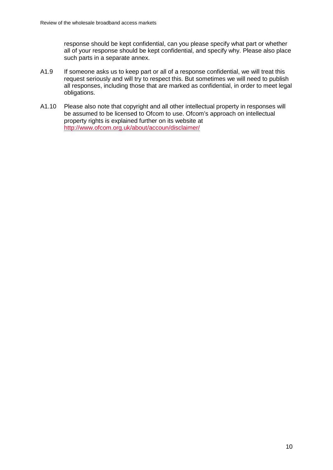response should be kept confidential, can you please specify what part or whether all of your response should be kept confidential, and specify why. Please also place such parts in a separate annex.

- A1.9 If someone asks us to keep part or all of a response confidential, we will treat this request seriously and will try to respect this. But sometimes we will need to publish all responses, including those that are marked as confidential, in order to meet legal obligations.
- A1.10 Please also note that copyright and all other intellectual property in responses will be assumed to be licensed to Ofcom to use. Ofcom's approach on intellectual property rights is explained further on its website at <http://www.ofcom.org.uk/about/accoun/disclaimer/>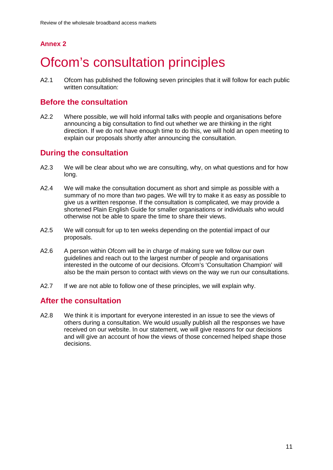# <span id="page-12-0"></span>**Ofcom's consultation principles**

A2.1 Ofcom has published the following seven principles that it will follow for each public written consultation:

### **Before the consultation**

A2.2 Where possible, we will hold informal talks with people and organisations before announcing a big consultation to find out whether we are thinking in the right direction. If we do not have enough time to do this, we will hold an open meeting to explain our proposals shortly after announcing the consultation.

### **During the consultation**

- A2.3 We will be clear about who we are consulting, why, on what questions and for how long.
- A2.4 We will make the consultation document as short and simple as possible with a summary of no more than two pages. We will try to make it as easy as possible to give us a written response. If the consultation is complicated, we may provide a shortened Plain English Guide for smaller organisations or individuals who would otherwise not be able to spare the time to share their views.
- A2.5 We will consult for up to ten weeks depending on the potential impact of our proposals.
- A2.6 A person within Ofcom will be in charge of making sure we follow our own guidelines and reach out to the largest number of people and organisations interested in the outcome of our decisions. Ofcom's 'Consultation Champion' will also be the main person to contact with views on the way we run our consultations.
- A2.7 If we are not able to follow one of these principles, we will explain why.

### **After the consultation**

A2.8 We think it is important for everyone interested in an issue to see the views of others during a consultation. We would usually publish all the responses we have received on our website. In our statement, we will give reasons for our decisions and will give an account of how the views of those concerned helped shape those decisions.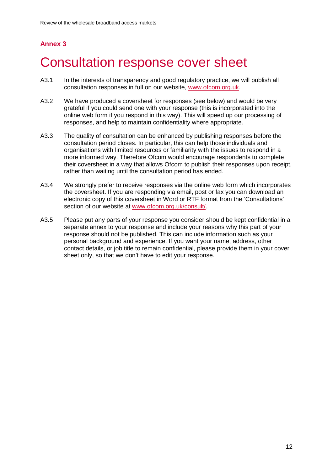# <span id="page-13-0"></span>3 Consultation response cover sheet

- A3.1 In the interests of transparency and good regulatory practice, we will publish all consultation responses in full on our website, [www.ofcom.org.uk.](http://www.ofcom.org.uk/)
- A3.2 We have produced a coversheet for responses (see below) and would be very grateful if you could send one with your response (this is incorporated into the online web form if you respond in this way). This will speed up our processing of responses, and help to maintain confidentiality where appropriate.
- A3.3 The quality of consultation can be enhanced by publishing responses before the consultation period closes. In particular, this can help those individuals and organisations with limited resources or familiarity with the issues to respond in a more informed way. Therefore Ofcom would encourage respondents to complete their coversheet in a way that allows Ofcom to publish their responses upon receipt, rather than waiting until the consultation period has ended.
- A3.4 We strongly prefer to receive responses via the online web form which incorporates the coversheet. If you are responding via email, post or fax you can download an electronic copy of this coversheet in Word or RTF format from the 'Consultations' section of our website at [www.ofcom.org.uk/consult/.](http://www.ofcom.org.uk/consult/)
- A3.5 Please put any parts of your response you consider should be kept confidential in a separate annex to your response and include your reasons why this part of your response should not be published. This can include information such as your personal background and experience. If you want your name, address, other contact details, or job title to remain confidential, please provide them in your cover sheet only, so that we don't have to edit your response.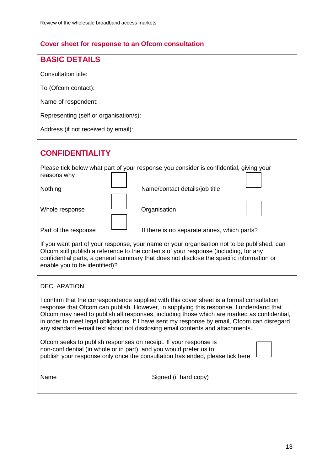# **Cover sheet for response to an Ofcom consultation**

| <b>BASIC DETAILS</b>                                                                                                                                                                                                                                                                                                                                                                                                                                                |  |  |  |
|---------------------------------------------------------------------------------------------------------------------------------------------------------------------------------------------------------------------------------------------------------------------------------------------------------------------------------------------------------------------------------------------------------------------------------------------------------------------|--|--|--|
| Consultation title:                                                                                                                                                                                                                                                                                                                                                                                                                                                 |  |  |  |
| To (Ofcom contact):                                                                                                                                                                                                                                                                                                                                                                                                                                                 |  |  |  |
| Name of respondent:                                                                                                                                                                                                                                                                                                                                                                                                                                                 |  |  |  |
| Representing (self or organisation/s):                                                                                                                                                                                                                                                                                                                                                                                                                              |  |  |  |
| Address (if not received by email):                                                                                                                                                                                                                                                                                                                                                                                                                                 |  |  |  |
| <b>CONFIDENTIALITY</b>                                                                                                                                                                                                                                                                                                                                                                                                                                              |  |  |  |
| Please tick below what part of your response you consider is confidential, giving your<br>reasons why                                                                                                                                                                                                                                                                                                                                                               |  |  |  |
| Nothing<br>Name/contact details/job title                                                                                                                                                                                                                                                                                                                                                                                                                           |  |  |  |
| Organisation<br>Whole response                                                                                                                                                                                                                                                                                                                                                                                                                                      |  |  |  |
| Part of the response<br>If there is no separate annex, which parts?                                                                                                                                                                                                                                                                                                                                                                                                 |  |  |  |
| If you want part of your response, your name or your organisation not to be published, can<br>Ofcom still publish a reference to the contents of your response (including, for any<br>confidential parts, a general summary that does not disclose the specific information or<br>enable you to be identified)?                                                                                                                                                     |  |  |  |
| <b>DECLARATION</b>                                                                                                                                                                                                                                                                                                                                                                                                                                                  |  |  |  |
| I confirm that the correspondence supplied with this cover sheet is a formal consultation<br>response that Ofcom can publish. However, in supplying this response, I understand that<br>Ofcom may need to publish all responses, including those which are marked as confidential,<br>in order to meet legal obligations. If I have sent my response by email, Ofcom can disregard<br>any standard e-mail text about not disclosing email contents and attachments. |  |  |  |
| Ofcom seeks to publish responses on receipt. If your response is<br>non-confidential (in whole or in part), and you would prefer us to<br>publish your response only once the consultation has ended, please tick here.                                                                                                                                                                                                                                             |  |  |  |
| Signed (if hard copy)<br>Name                                                                                                                                                                                                                                                                                                                                                                                                                                       |  |  |  |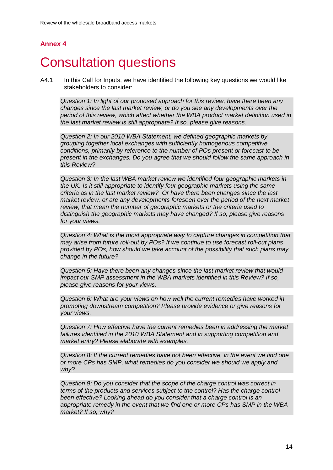# <span id="page-15-0"></span>**Consultation questions**

A4.1 In this Call for Inputs, we have identified the following key questions we would like stakeholders to consider:

*Question 1: In light of our proposed approach for this review, have there been any changes since the last market review, or do you see any developments over the period of this review, which affect whether the WBA product market definition used in the last market review is still appropriate? If so, please give reasons.*

*Question 2: In our 2010 WBA Statement, we defined geographic markets by grouping together local exchanges with sufficiently homogenous competitive conditions, primarily by reference to the number of POs present or forecast to be present in the exchanges. Do you agree that we should follow the same approach in this Review?* 

*Question 3: In the last WBA market review we identified four geographic markets in the UK. Is it still appropriate to identify four geographic markets using the same criteria as in the last market review? Or have there been changes since the last market review, or are any developments foreseen over the period of the next market review, that mean the number of geographic markets or the criteria used to distinguish the geographic markets may have changed? If so, please give reasons for your views.*

*Question 4: What is the most appropriate way to capture changes in competition that may arise from future roll-out by POs? If we continue to use forecast roll-out plans provided by POs, how should we take account of the possibility that such plans may change in the future?* 

*Question 5: Have there been any changes since the last market review that would impact our SMP assessment in the WBA markets identified in this Review? If so, please give reasons for your views.*

*Question 6: What are your views on how well the current remedies have worked in promoting downstream competition? Please provide evidence or give reasons for your views.*

*Question 7: How effective have the current remedies been in addressing the market failures identified in the 2010 WBA Statement and in supporting competition and market entry? Please elaborate with examples.*

*Question 8: If the current remedies have not been effective, in the event we find one or more CPs has SMP, what remedies do you consider we should we apply and why?*

*Question 9: Do you consider that the scope of the charge control was correct in terms of the products and services subject to the control? Has the charge control been effective? Looking ahead do you consider that a charge control is an appropriate remedy in the event that we find one or more CPs has SMP in the WBA market? If so, why?*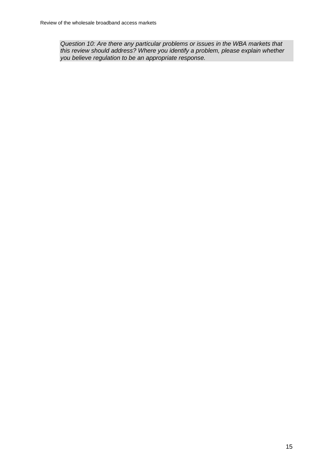*Question 10: Are there any particular problems or issues in the WBA markets that this review should address? Where you identify a problem, please explain whether you believe regulation to be an appropriate response.*